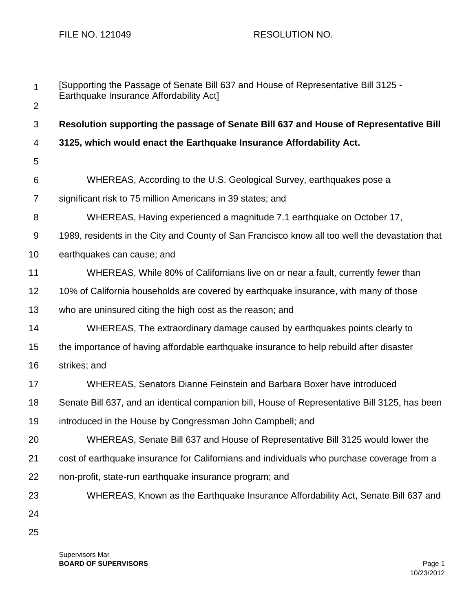| 1              | [Supporting the Passage of Senate Bill 637 and House of Representative Bill 3125 -<br>Earthquake Insurance Affordability Act] |
|----------------|-------------------------------------------------------------------------------------------------------------------------------|
| $\overline{2}$ |                                                                                                                               |
| 3              | Resolution supporting the passage of Senate Bill 637 and House of Representative Bill                                         |
| 4              | 3125, which would enact the Earthquake Insurance Affordability Act.                                                           |
| 5              |                                                                                                                               |
| 6              | WHEREAS, According to the U.S. Geological Survey, earthquakes pose a                                                          |
| 7              | significant risk to 75 million Americans in 39 states; and                                                                    |
| 8              | WHEREAS, Having experienced a magnitude 7.1 earthquake on October 17,                                                         |
| $9\,$          | 1989, residents in the City and County of San Francisco know all too well the devastation that                                |
| 10             | earthquakes can cause; and                                                                                                    |
| 11             | WHEREAS, While 80% of Californians live on or near a fault, currently fewer than                                              |
| 12             | 10% of California households are covered by earthquake insurance, with many of those                                          |
| 13             | who are uninsured citing the high cost as the reason; and                                                                     |
| 14             | WHEREAS, The extraordinary damage caused by earthquakes points clearly to                                                     |
| 15             | the importance of having affordable earthquake insurance to help rebuild after disaster                                       |
| 16             | strikes; and                                                                                                                  |
| 17             | WHEREAS, Senators Dianne Feinstein and Barbara Boxer have introduced                                                          |
| 18             | Senate Bill 637, and an identical companion bill, House of Representative Bill 3125, has been                                 |
| 19             | introduced in the House by Congressman John Campbell; and                                                                     |
| 20             | WHEREAS, Senate Bill 637 and House of Representative Bill 3125 would lower the                                                |
| 21             | cost of earthquake insurance for Californians and individuals who purchase coverage from a                                    |
| 22             | non-profit, state-run earthquake insurance program; and                                                                       |
| 23             | WHEREAS, Known as the Earthquake Insurance Affordability Act, Senate Bill 637 and                                             |
| 24             |                                                                                                                               |
| 25             |                                                                                                                               |

Supervisors Mar **BOARD OF SUPERVISORS** Page 1